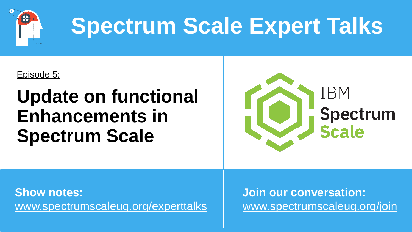

# **Spectrum Scale Expert Talks**

Episode 5:

### **Update on functional Enhancements in Spectrum Scale**



**Show notes:** [www.spectrumscaleug.org/experttalks](http://www.spectrumscaleug.org/experttalks) **Join our conversation:** [www.spectrumscaleug.org/join](http://www.spectrumscaleug.org/join)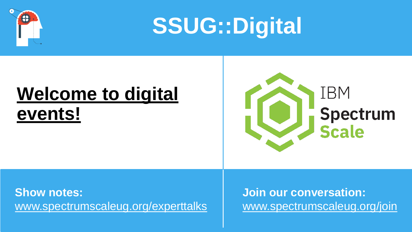

**SSUG::Digital**

### **Welcome to digital events!**



**Show notes:** [www.spectrumscaleug.org/experttalks](http://www.spectrumscaleug.org/experttalks) **Join our conversation:** [www.spectrumscaleug.org/join](http://www.spectrumscaleug.org/join)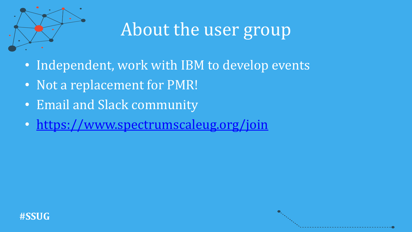

### About the user group

- Independent, work with IBM to develop events
- Not a replacement for PMR!
- Email and Slack community
- <https://www.spectrumscaleug.org/join>

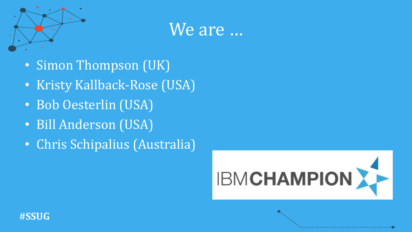

### We are …

- Simon Thompson (UK)
- Kristy Kallback-Rose (USA)
- Bob Oesterlin (USA)
- Bill Anderson (USA)
- Chris Schipalius (Australia)



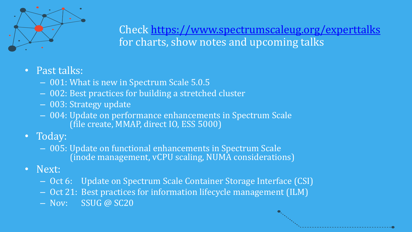

Check <https://www.spectrumscaleug.org/experttalks> for charts, show notes and upcoming talks

- Past talks:
	- 001: What is new in Spectrum Scale 5.0.5
	- 002: Best practices for building a stretched cluster
	- 003: Strategy update
	- 004: Update on performance enhancements in Spectrum Scale (file create, MMAP, direct IO, ESS 5000)
- Today:
	- 005: Update on functional enhancements in Spectrum Scale (inode management, vCPU scaling, NUMA considerations)
- Next:
	- Oct 6: Update on Spectrum Scale Container Storage Interface (CSI)
	- Oct 21: Best practices for information lifecycle management (ILM)
	- Nov: SSUG @ SC20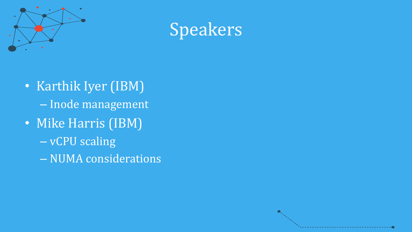



- Karthik Iyer (IBM) – Inode management
- Mike Harris (IBM)
	- vCPU scaling
	- NUMA considerations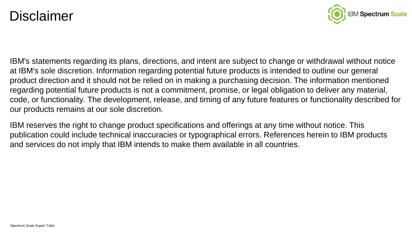#### **Disclaimer**



IBM's statements regarding its plans, directions, and intent are subject to change or withdrawal without notice at IBM's sole discretion. Information regarding potential future products is intended to outline our general product direction and it should not be relied on in making a purchasing decision. The information mentioned regarding potential future products is not a commitment, promise, or legal obligation to deliver any material, code, or functionality. The development, release, and timing of any future features or functionality described for our products remains at our sole discretion.

IBM reserves the right to change product specifications and offerings at any time without notice. This publication could include technical inaccuracies or typographical errors. References herein to IBM products and services do not imply that IBM intends to make them available in all countries.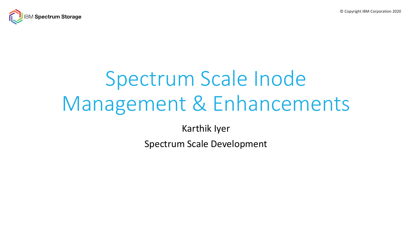© Copyright IBM Corporation 2020



# Spectrum Scale Inode Management & Enhancements

Karthik Iyer

Spectrum Scale Development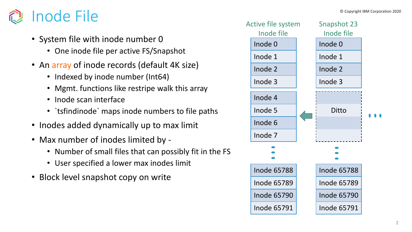- System file with inode number 0
	- One inode file per active FS/Snapshot
- An array of inode records (default 4K size)
	- Indexed by inode number (Int64)
	- Mgmt. functions like restripe walk this array
	- Inode scan interface
	- `tsfindinode` maps inode numbers to file paths
- Inodes added dynamically up to max limit
- Max number of inodes limited by
	- Number of small files that can possibly fit in the FS
	- User specified a lower max inodes limit
- Block level snapshot copy on write

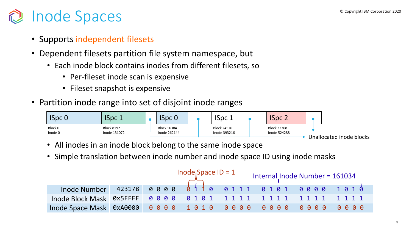# **Inode Spaces Copyright IBM Corporation 2020**

- Supports independent filesets
- Dependent filesets partition file system namespace, but
	- Each inode block contains inodes from different filesets, so
		- Per-fileset inode scan is expensive
		- Fileset snapshot is expensive
- Partition inode range into set of disjoint inode ranges

| $ $ ISpc 0         | <b>ISpc 1</b>                     | <b>ISpc 0</b>               |  | ISpc 1                      | <b>ISpc 2</b>                      |                          |
|--------------------|-----------------------------------|-----------------------------|--|-----------------------------|------------------------------------|--------------------------|
| Block 0<br>Inode 0 | <b>Block 8192</b><br>Inode 131072 | Block 16384<br>Inode 262144 |  | Block 24576<br>Inode 393216 | <b>Block 32768</b><br>Inode 524288 |                          |
|                    |                                   |                             |  |                             |                                    | Unallocated inode blocks |

- All inodes in an inode block belong to the same inode space
- Simple translation between inode number and inode space ID using inode masks

|                                                   |  | Internal Inode Number = 161034 |  |  |  |
|---------------------------------------------------|--|--------------------------------|--|--|--|
| Inode Number 423178 0000 0110 0111 0101 0000 1010 |  |                                |  |  |  |
|                                                   |  |                                |  |  |  |
|                                                   |  |                                |  |  |  |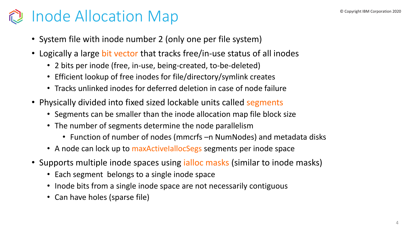# **Copyright IBM Corporation 2020** Inode Allocation Map

- System file with inode number 2 (only one per file system)
- Logically a large bit vector that tracks free/in-use status of all inodes
	- 2 bits per inode (free, in-use, being-created, to-be-deleted)
	- Efficient lookup of free inodes for file/directory/symlink creates
	- Tracks unlinked inodes for deferred deletion in case of node failure
- Physically divided into fixed sized lockable units called segments
	- Segments can be smaller than the inode allocation map file block size
	- The number of segments determine the node parallelism
		- Function of number of nodes (mmcrfs –n NumNodes) and metadata disks
	- A node can lock up to maxActiveIallocSegs segments per inode space
- Supports multiple inode spaces using *ialloc* masks (similar to inode masks)
	- Each segment belongs to a single inode space
	- Inode bits from a single inode space are not necessarily contiguous
	- Can have holes (sparse file)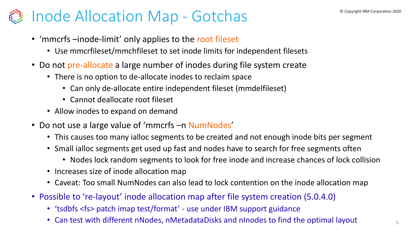### **Contright IBM Corporation 2020** Inode Allocation Map - Gotchas

- 'mmcrfs –inode-limit' only applies to the root fileset
	- Use mmcrfileset/mmchfileset to set inode limits for independent filesets
- Do not pre-allocate a large number of inodes during file system create
	- There is no option to de-allocate inodes to reclaim space
		- Can only de-allocate entire independent fileset (mmdelfileset)
		- Cannot deallocate root fileset
	- Allow inodes to expand on demand
- Do not use a large value of 'mmcrfs –n NumNodes'
	- This causes too many ialloc segments to be created and not enough inode bits per segment
	- Small ialloc segments get used up fast and nodes have to search for free segments often
		- Nodes lock random segments to look for free inode and increase chances of lock collision
	- Increases size of inode allocation map
	- Caveat: Too small NumNodes can also lead to lock contention on the inode allocation map
- Possible to 're-layout' inode allocation map after file system creation (5.0.4.0)
	- 'tsdbfs <fs> patch imap test/format' use under IBM support guidance
	- Can test with different nNodes, nMetadataDisks and nInodes to find the optimal layout  $55$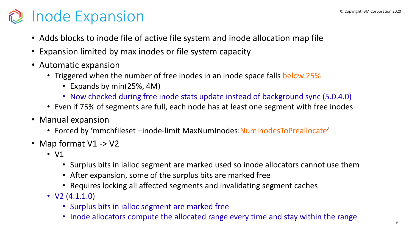# **Copyright IBM Corporation 2020 Copyright IBM Corporation 2020**

- Adds blocks to inode file of active file system and inode allocation map file
- Expansion limited by max inodes or file system capacity
- Automatic expansion
	- Triggered when the number of free inodes in an inode space falls below 25%
		- Expands by min(25%, 4M)
		- Now checked during free inode stats update instead of background sync (5.0.4.0)
	- Even if 75% of segments are full, each node has at least one segment with free inodes
- Manual expansion
	- Forced by 'mmchfileset -inode-limit MaxNumInodes: NumInodesToPreallocate'
- Map format V1 -> V2
	- V1
		- Surplus bits in ialloc segment are marked used so inode allocators cannot use them
		- After expansion, some of the surplus bits are marked free
		- Requires locking all affected segments and invalidating segment caches
	- $\bullet$  V2 (4.1.1.0)
		- Surplus bits in ialloc segment are marked free
		- Inode allocators compute the allocated range every time and stay within the range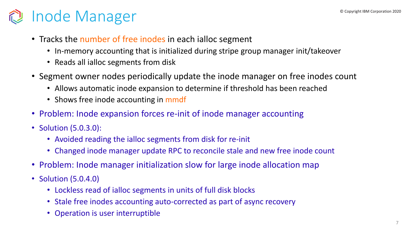# **De Copyright IBM Corporation 2020 Copyright IBM Corporation 2020**

- Tracks the number of free inodes in each ialloc segment
	- In-memory accounting that is initialized during stripe group manager init/takeover
	- Reads all ialloc segments from disk
- Segment owner nodes periodically update the inode manager on free inodes count
	- Allows automatic inode expansion to determine if threshold has been reached
	- Shows free inode accounting in mmdf
- Problem: Inode expansion forces re-init of inode manager accounting
- Solution (5.0.3.0):
	- Avoided reading the ialloc segments from disk for re-init
	- Changed inode manager update RPC to reconcile stale and new free inode count
- Problem: Inode manager initialization slow for large inode allocation map
- Solution (5.0.4.0)
	- Lockless read of ialloc segments in units of full disk blocks
	- Stale free inodes accounting auto-corrected as part of async recovery
	- Operation is user interruptible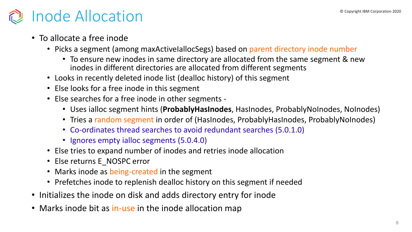### $\mathbb P$  Inode Allocation 2020 **Institute Allocation** 2020

- To allocate a free inode
	- Picks a segment (among maxActiveIallocSegs) based on parent directory inode number
		- To ensure new inodes in same directory are allocated from the same segment & new inodes in different directories are allocated from different segments
	- Looks in recently deleted inode list (dealloc history) of this segment
	- Else looks for a free inode in this segment
	- Else searches for a free inode in other segments
		- Uses ialloc segment hints (**ProbablyHasInodes**, HasInodes, ProbablyNoInodes, NoInodes)
		- Tries a random segment in order of (HasInodes, ProbablyHasInodes, ProbablyNoInodes)
		- Co-ordinates thread searches to avoid redundant searches (5.0.1.0)
		- Ignores empty ialloc segments (5.0.4.0)
	- Else tries to expand number of inodes and retries inode allocation
	- Else returns E\_NOSPC error
	- Marks inode as being-created in the segment
	- Prefetches inode to replenish dealloc history on this segment if needed
- Initializes the inode on disk and adds directory entry for inode
- Marks inode bit as in-use in the inode allocation map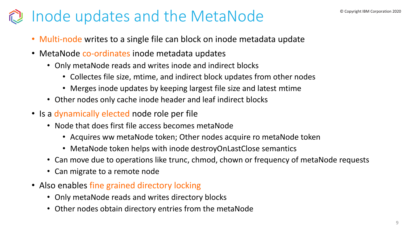### © Inode updates and the MetaNode <sup>© Copyright IBM Corporation 2020</sup>

- Multi-node writes to a single file can block on inode metadata update
- MetaNode co-ordinates inode metadata updates
	- Only metaNode reads and writes inode and indirect blocks
		- Collectes file size, mtime, and indirect block updates from other nodes
		- Merges inode updates by keeping largest file size and latest mtime
	- Other nodes only cache inode header and leaf indirect blocks
- Is a dynamically elected node role per file
	- Node that does first file access becomes metaNode
		- Acquires ww metaNode token; Other nodes acquire ro metaNode token
		- MetaNode token helps with inode destroyOnLastClose semantics
	- Can move due to operations like trunc, chmod, chown or frequency of metaNode requests
	- Can migrate to a remote node
- Also enables fine grained directory locking
	- Only metaNode reads and writes directory blocks
	- Other nodes obtain directory entries from the metaNode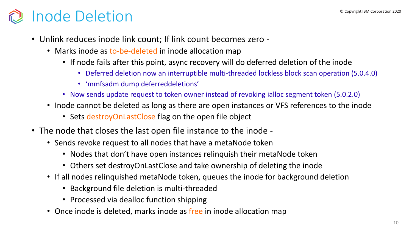# **Inode Deletion Copyright IBM Corporation 2020**

- Unlink reduces inode link count; If link count becomes zero
	- Marks inode as to-be-deleted in inode allocation map
		- If node fails after this point, async recovery will do deferred deletion of the inode
			- Deferred deletion now an interruptible multi-threaded lockless block scan operation (5.0.4.0)
			- 'mmfsadm dump deferreddeletions'
		- Now sends update request to token owner instead of revoking ialloc segment token (5.0.2.0)
	- Inode cannot be deleted as long as there are open instances or VFS references to the inode
		- Sets destroyOnLastClose flag on the open file object
- The node that closes the last open file instance to the inode
	- Sends revoke request to all nodes that have a metaNode token
		- Nodes that don't have open instances relinquish their metaNode token
		- Others set destroyOnLastClose and take ownership of deleting the inode
	- If all nodes relinquished metaNode token, queues the inode for background deletion
		- Background file deletion is multi-threaded
		- Processed via dealloc function shipping
	- Once inode is deleted, marks inode as free in inode allocation map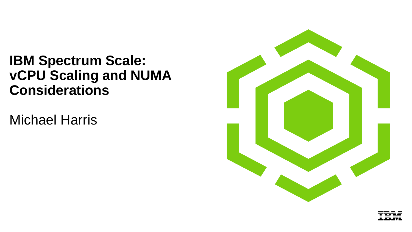### **IBM Spectrum Scale: vCPU Scaling and NUMA Considerations**

Michael Harris



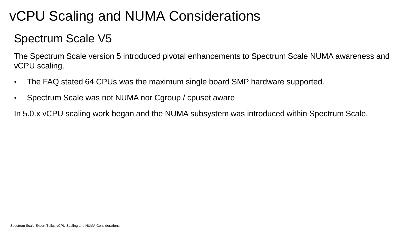### vCPU Scaling and NUMA Considerations

#### Spectrum Scale V5

The Spectrum Scale version 5 introduced pivotal enhancements to Spectrum Scale NUMA awareness and vCPU scaling.

- The FAQ stated 64 CPUs was the maximum single board SMP hardware supported.
- Spectrum Scale was not NUMA nor Cgroup / cpuset aware

In 5.0.x vCPU scaling work began and the NUMA subsystem was introduced within Spectrum Scale.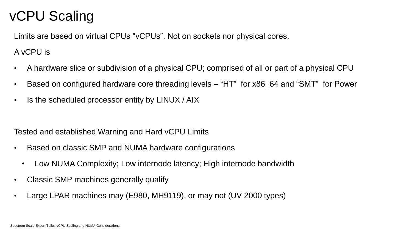### vCPU Scaling

Limits are based on virtual CPUs "vCPUs". Not on sockets nor physical cores.

#### A vCPU is

- A hardware slice or subdivision of a physical CPU; comprised of all or part of a physical CPU
- Based on configured hardware core threading levels "HT" for x86 64 and "SMT" for Power
- Is the scheduled processor entity by LINUX / AIX

#### Tested and established Warning and Hard vCPU Limits

- Based on classic SMP and NUMA hardware configurations
	- Low NUMA Complexity; Low internode latency; High internode bandwidth
- Classic SMP machines generally qualify
- Large LPAR machines may (E980, MH9119), or may not (UV 2000 types)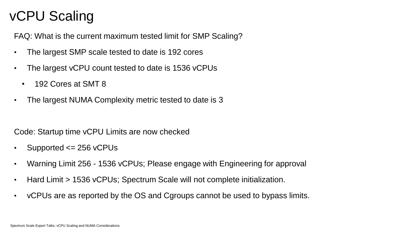### vCPU Scaling

FAQ: What is the current maximum tested limit for SMP Scaling?

- The largest SMP scale tested to date is 192 cores
- The largest vCPU count tested to date is 1536 vCPUs
	- 192 Cores at SMT 8
- The largest NUMA Complexity metric tested to date is 3

Code: Startup time vCPU Limits are now checked

- Supported  $\leq$  256 vCPUs
- Warning Limit 256 1536 vCPUs; Please engage with Engineering for approval
- Hard Limit > 1536 vCPUs; Spectrum Scale will not complete initialization.
- vCPUs are as reported by the OS and Cgroups cannot be used to bypass limits.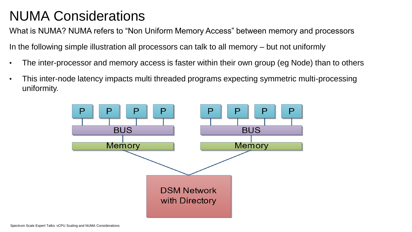What is NUMA? NUMA refers to "Non Uniform Memory Access" between memory and processors

In the following simple illustration all processors can talk to all memory – but not uniformly

- The inter-processor and memory access is faster within their own group (eg Node) than to others
- This inter-node latency impacts multi threaded programs expecting symmetric multi-processing uniformity.

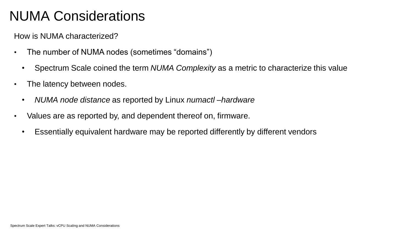How is NUMA characterized?

- The number of NUMA nodes (sometimes "domains")
	- Spectrum Scale coined the term *NUMA Complexity* as a metric to characterize this value
- The latency between nodes.
	- *NUMA node distance* as reported by Linux *numactl –hardware*
- Values are as reported by, and dependent thereof on, firmware.
	- Essentially equivalent hardware may be reported differently by different vendors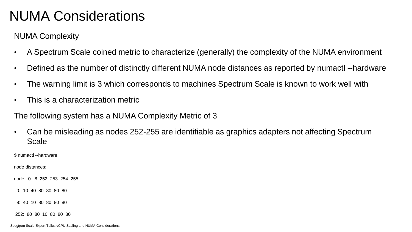NUMA Complexity

- A Spectrum Scale coined metric to characterize (generally) the complexity of the NUMA environment
- Defined as the number of distinctly different NUMA node distances as reported by numactl --hardware
- The warning limit is 3 which corresponds to machines Spectrum Scale is known to work well with
- This is a characterization metric

The following system has a NUMA Complexity Metric of 3

• Can be misleading as nodes 252-255 are identifiable as graphics adapters not affecting Spectrum Scale

\$ numactl --hardware

node distances:

node 0 8 252 253 254 255

0: 10 40 80 80 80 80

8: 40 10 80 80 80 80

252: 80 80 10 80 80 80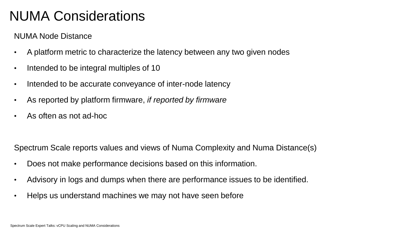NUMA Node Distance

- A platform metric to characterize the latency between any two given nodes
- Intended to be integral multiples of 10
- Intended to be accurate conveyance of inter-node latency
- As reported by platform firmware, *if reported by firmware*
- As often as not ad-hoc

Spectrum Scale reports values and views of Numa Complexity and Numa Distance(s)

- Does not make performance decisions based on this information.
- Advisory in logs and dumps when there are performance issues to be identified.
- Helps us understand machines we may not have seen before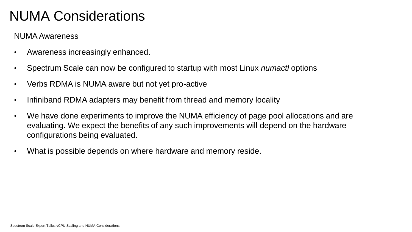#### NUMA Awareness

- Awareness increasingly enhanced.
- Spectrum Scale can now be configured to startup with most Linux *numactl* options
- Verbs RDMA is NUMA aware but not yet pro-active
- Infiniband RDMA adapters may benefit from thread and memory locality
- We have done experiments to improve the NUMA efficiency of page pool allocations and are evaluating. We expect the benefits of any such improvements will depend on the hardware configurations being evaluated.
- What is possible depends on where hardware and memory reside.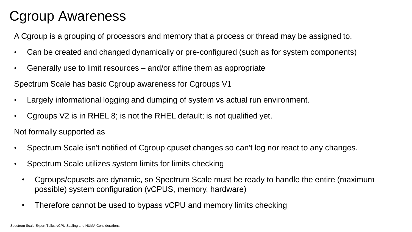### Cgroup Awareness

A Cgroup is a grouping of processors and memory that a process or thread may be assigned to.

- Can be created and changed dynamically or pre-configured (such as for system components)
- Generally use to limit resources and/or affine them as appropriate

Spectrum Scale has basic Cgroup awareness for Cgroups V1

- Largely informational logging and dumping of system vs actual run environment.
- Cgroups V2 is in RHEL 8; is not the RHEL default; is not qualified yet.

Not formally supported as

- Spectrum Scale isn't notified of Cgroup cpuset changes so can't log nor react to any changes.
- Spectrum Scale utilizes system limits for limits checking
	- Cgroups/cpusets are dynamic, so Spectrum Scale must be ready to handle the entire (maximum possible) system configuration (vCPUS, memory, hardware)
	- Therefore cannot be used to bypass vCPU and memory limits checking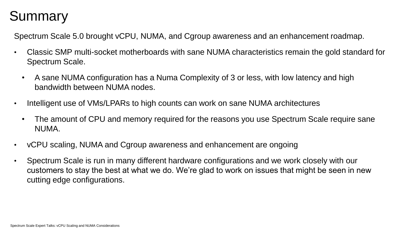### Summary

Spectrum Scale 5.0 brought vCPU, NUMA, and Cgroup awareness and an enhancement roadmap.

- Classic SMP multi-socket motherboards with sane NUMA characteristics remain the gold standard for Spectrum Scale.
	- A sane NUMA configuration has a Numa Complexity of 3 or less, with low latency and high bandwidth between NUMA nodes.
- Intelligent use of VMs/LPARs to high counts can work on sane NUMA architectures
	- The amount of CPU and memory required for the reasons you use Spectrum Scale require sane NUMA.
- vCPU scaling, NUMA and Cgroup awareness and enhancement are ongoing
- Spectrum Scale is run in many different hardware configurations and we work closely with our customers to stay the best at what we do. We're glad to work on issues that might be seen in new cutting edge configurations.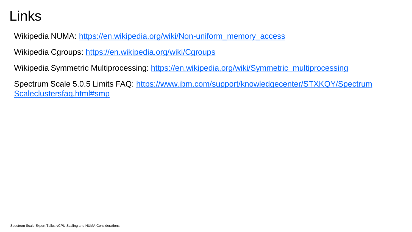#### Links

Wikipedia NUMA: [https://en.wikipedia.org/wiki/Non-uniform\\_memory\\_access](https://en.wikipedia.org/wiki/Non-uniform_memory_access)

Wikipedia Cgroups:<https://en.wikipedia.org/wiki/Cgroups>

Wikipedia Symmetric Multiprocessing: [https://en.wikipedia.org/wiki/Symmetric\\_multiprocessing](https://en.wikipedia.org/wiki/Symmetric_multiprocessing)

[Spectrum Scale 5.0.5 Limits FAQ: https://www.ibm.com/support/knowledgecenter/STXKQY/Spectrum](https://www.ibm.com/support/knowledgecenter/STXKQY/gpfsclustersfaq.html#smp)  Scaleclustersfaq.html#smp